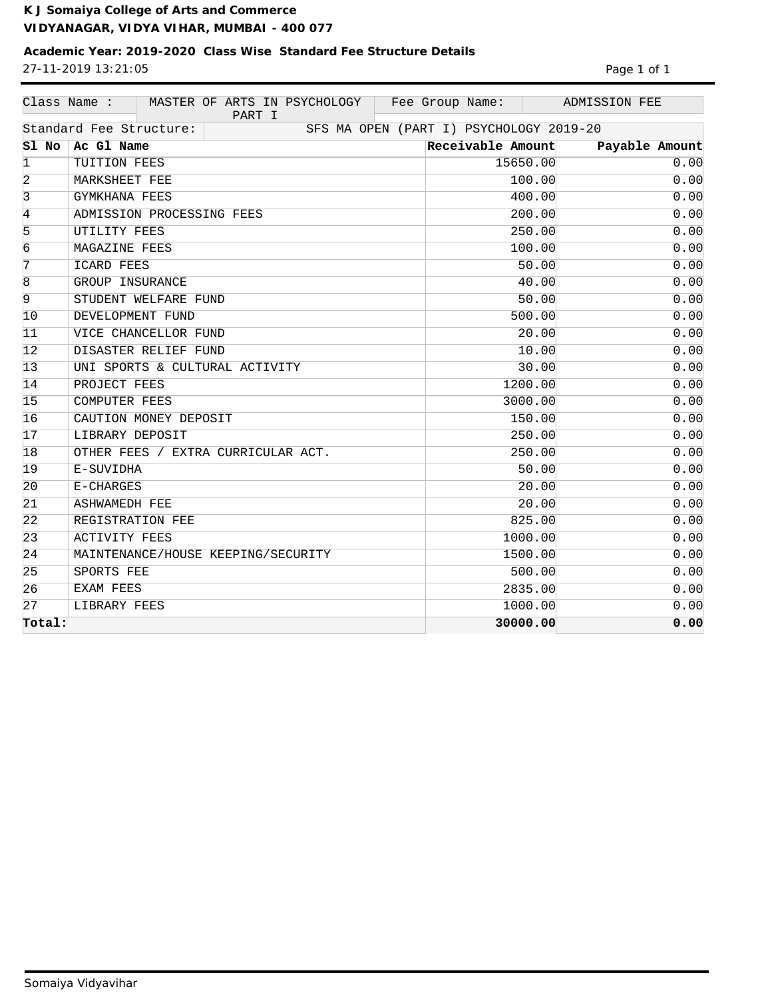## **Academic Year: 2019-2020 Class Wise Standard Fee Structure Details** 27-11-2019 13:21:05

| Page 1 of 1 |  |  |
|-------------|--|--|
|             |  |  |

|                 | Class Name :<br>MASTER OF ARTS IN PSYCHOLOGY<br>PART I | Fee Group Name:                         | ADMISSION FEE  |
|-----------------|--------------------------------------------------------|-----------------------------------------|----------------|
|                 | Standard Fee Structure:                                | SFS MA OPEN (PART I) PSYCHOLOGY 2019-20 |                |
| $SI$ No $ $     | Ac Gl Name                                             | Receivable Amount                       | Payable Amount |
| $\mathbf{1}$    | TUITION FEES                                           | 15650.00                                | 0.00           |
| $\overline{2}$  | MARKSHEET FEE                                          | 100.00                                  | 0.00           |
| $\overline{3}$  | <b>GYMKHANA FEES</b>                                   | 400.00                                  | 0.00           |
| 4               | ADMISSION PROCESSING FEES                              | 200.00                                  | 0.00           |
| 5               | UTILITY FEES                                           | 250.00                                  | 0.00           |
| $\overline{6}$  | MAGAZINE FEES                                          | 100.00                                  | 0.00           |
| 7               | ICARD FEES                                             | 50.00                                   | 0.00           |
| 8               | GROUP INSURANCE                                        | 40.00                                   | 0.00           |
| $\overline{9}$  | STUDENT WELFARE FUND                                   | 50.00                                   | 0.00           |
| 10              | DEVELOPMENT FUND                                       | 500.00                                  | 0.00           |
| 11              | VICE CHANCELLOR FUND                                   | 20.00                                   | 0.00           |
| 12              | DISASTER RELIEF FUND                                   | 10.00                                   | 0.00           |
| 13              | UNI SPORTS & CULTURAL ACTIVITY                         | 30.00                                   | 0.00           |
| 14              | PROJECT FEES                                           | 1200.00                                 | 0.00           |
| 15              | <b>COMPUTER FEES</b>                                   | 3000.00                                 | 0.00           |
| 16              | CAUTION MONEY DEPOSIT                                  | 150.00                                  | 0.00           |
| 17              | LIBRARY DEPOSIT                                        | 250.00                                  | 0.00           |
| 18              | OTHER FEES / EXTRA CURRICULAR ACT.                     | 250.00                                  | 0.00           |
| 19              | E-SUVIDHA                                              | 50.00                                   | 0.00           |
| $\overline{20}$ | E-CHARGES                                              | 20.00                                   | 0.00           |
| 21              | <b>ASHWAMEDH FEE</b>                                   | 20.00                                   | 0.00           |
| 22              | REGISTRATION FEE                                       | 825.00                                  | 0.00           |
| 23              | <b>ACTIVITY FEES</b>                                   | 1000.00                                 | 0.00           |
| 24              | MAINTENANCE/HOUSE KEEPING/SECURITY                     | 1500.00                                 | 0.00           |
| 25              | SPORTS FEE                                             | 500.00                                  | 0.00           |
| 26              | EXAM FEES                                              | 2835.00                                 | 0.00           |
| 27              | LIBRARY FEES                                           | 1000.00                                 | 0.00           |
| Total:          |                                                        | 30000.00                                | 0.00           |